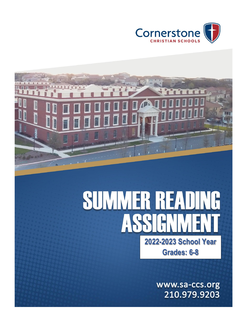



# **SUMMER READING** AS **2022-2023 School Year Grades: 6-8**

www.sa-ccs.org 210.979.9203